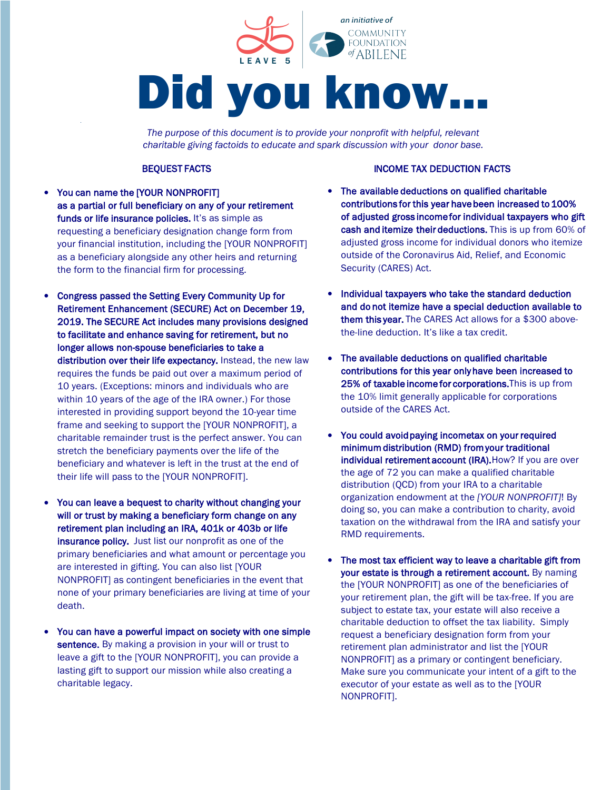

*The purpose of this document is to provide your nonprofit with helpful, relevant charitable giving factoids to educate and spark discussion with your donor base.*

- You can name the [YOUR NONPROFIT] as a partial or full beneficiary on any of your retirement funds or life insurance policies. It's as simple as requesting a beneficiary designation change form from your financial institution, including the [YOUR NONPROFIT] as a beneficiary alongside any other heirs and returning the form to the financial firm for processing.
- Congress passed the Setting Every Community Up for Retirement Enhancement (SECURE) Act on December 19, 2019. The SECURE Act includes many provisions designed to facilitate and enhance saving for retirement, but no longer allows non-spouse beneficiaries to take a distribution over their life expectancy. Instead, the new law requires the funds be paid out over a maximum period of 10 years. (Exceptions: minors and individuals who are within 10 years of the age of the IRA owner.) For those interested in providing support beyond the 10-year time frame and seeking to support the [YOUR NONPROFIT], a charitable remainder trust is the perfect answer. You can stretch the beneficiary payments over the life of the beneficiary and whatever is left in the trust at the end of their life will pass to the [YOUR NONPROFIT].
- You can leave a bequest to charity without changing your will or trust by making a beneficiary form change on any retirement plan including an IRA, 401k or 403b or life insurance policy. Just list our nonprofit as one of the primary beneficiaries and what amount or percentage you are interested in gifting. You can also list [YOUR NONPROFIT] as contingent beneficiaries in the event that none of your primary beneficiaries are living at time of your death.
- You can have a powerful impact on society with one simple sentence. By making a provision in your will or trust to leave a gift to the [YOUR NONPROFIT], you can provide a lasting gift to support our mission while also creating a charitable legacy.

## **BEQUEST FACTS INCOME TAX DEDUCTION FACTS**

- The available deductions on qualified charitable contributions for this year have been increased to 100% of adjusted gross income for individual taxpayers who gift cash and itemize their deductions. This is up from 60% of adjusted gross income for individual donors who itemize outside of the Coronavirus Aid, Relief, and Economic Security (CARES) Act.
- Individual taxpayers who take the standard deduction and do not itemize have a special deduction available to them this year. The CARES Act allows for a \$300 abovethe-line deduction. It's like a tax credit.
- The available deductions on qualified charitable contributions for this year only have been increased to 25% of taxable income for corporations.This is up from the 10% limit generally applicable for corporations outside of the CARES Act.
- You could avoid paying incometax on your required minimum distribution (RMD) from your traditional individual retirement account (IRA). How? If you are over the age of 72 you can make a qualified charitable distribution (QCD) from your IRA to a charitable organization endowment at the *[YOUR NONPROFIT]*! By doing so, you can make a contribution to charity, avoid taxation on the withdrawal from the IRA and satisfy your RMD requirements.
- The most tax efficient way to leave a charitable gift from your estate is through a retirement account. By naming the [YOUR NONPROFIT] as one of the beneficiaries of your retirement plan, the gift will be tax-free. If you are subject to estate tax, your estate will also receive a charitable deduction to offset the tax liability. Simply request a beneficiary designation form from your retirement plan administrator and list the [YOUR NONPROFIT] as a primary or contingent beneficiary. Make sure you communicate your intent of a gift to the executor of your estate as well as to the [YOUR NONPROFIT].